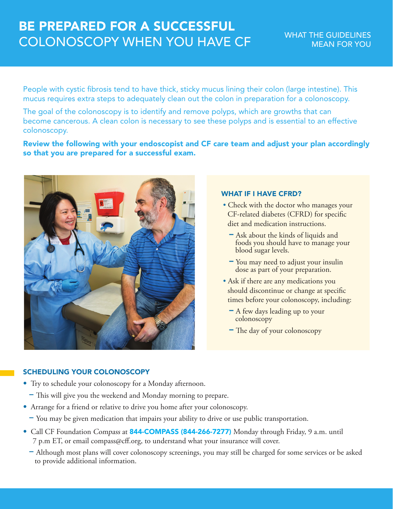# BE PREPARED FOR A SUCCESSFUL COLONOSCOPY WHEN YOU HAVE CF

People with cystic fibrosis tend to have thick, sticky mucus lining their colon (large intestine). This mucus requires extra steps to adequately clean out the colon in preparation for a colonoscopy.

The goal of the colonoscopy is to identify and remove polyps, which are growths that can become cancerous. A clean colon is necessary to see these polyps and is essential to an effective colonoscopy.

Review the following with your endoscopist and CF care team and adjust your plan accordingly so that you are prepared for a successful exam.



# WHAT IF I HAVE CFRD?

- Check with the doctor who manages your CF-related diabetes (CFRD) for specific diet and medication instructions.
	- − Ask about the kinds of liquids and foods you should have to manage your blood sugar levels.
	- − You may need to adjust your insulin dose as part of your preparation.
- Ask if there are any medications you should discontinue or change at specific times before your colonoscopy, including:
	- − A few days leading up to your colonoscopy
	- − The day of your colonoscopy

# SCHEDULING YOUR COLONOSCOPY

- Try to schedule your colonoscopy for a Monday afternoon.
	- − This will give you the weekend and Monday morning to prepare.
- Arrange for a friend or relative to drive you home after your colonoscopy.
	- − You may be given medication that impairs your ability to drive or use public transportation.
- Call CF Foundation Compass at 844-COMPASS (844-266-7277) Monday through Friday, 9 a.m. until 7 p.m ET, or email compass@cff.org, to understand what your insurance will cover.
	- − Although most plans will cover colonoscopy screenings, you may still be charged for some services or be asked to provide additional information.